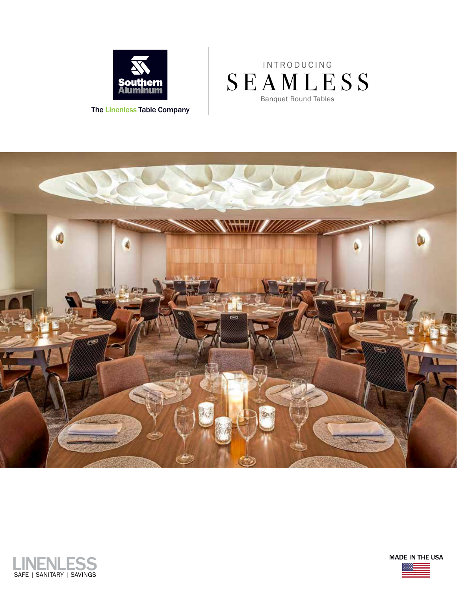

The Linenless Table Company

## Banquet Round Tables SEAMLESS I N T R O D U C I N G





**MADE IN THE USA**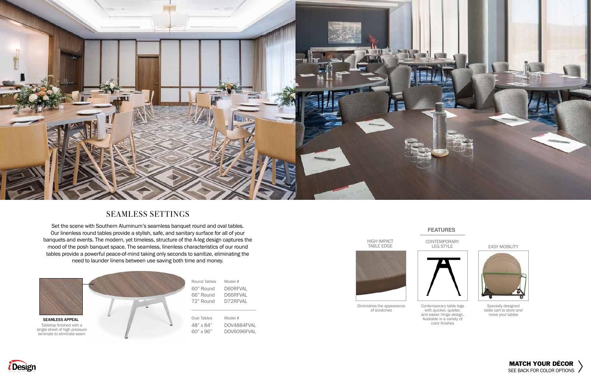



# SEAMLESS SETTINGS

Set the scene with Southern Aluminum's seamless banquet round and oval tables. Our linenless round tables provide a stylish, safe, and sanitary surface for all of your banquets and events. The modern, yet timeless, structure of the A-leg design captures the mood of the posh banquet space. The seamless, linenless characteristics of our round tables provide a powerful peace-of-mind taking only seconds to sanitize, eliminating the need to launder linens between use saving both time and money.

### **FEATURES**



Diminishes the appearance of scratches









Contemporary table legs with quicker, quieter, and easier hinge design. Available in a variety of color finishes

CONTEMPORARY LEG STYLE



Specially designed table cart to store and move your tables

### EASY MOBILITY

| Round Tables<br>60" Round | # Model<br>D60RFVAL |
|---------------------------|---------------------|
| 66" Round                 | D66RFVAL            |
| 72" Round                 | D72RFVAL            |
|                           |                     |
| Oval Tables               | # Model             |
| 48" x 84"                 | DOV4884FVAL         |
| 60" x 96"                 | DOV6096FVAL         |



Tabletop finished with a single sheet of high pressure laminate to eliminate seam SEAMLESS APPEAL

*<i>i*Design